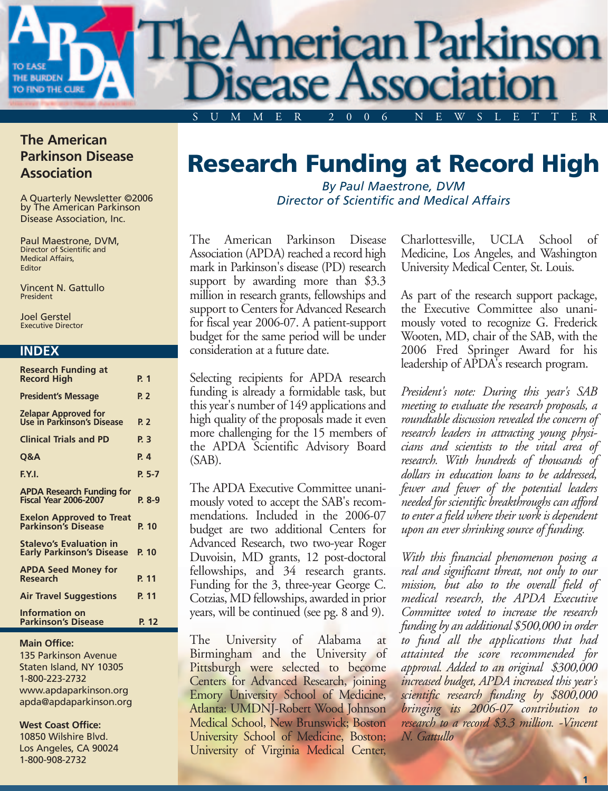

### **The American Parkinson Disease Association**

A Quarterly Newsletter ©2006 by The American Parkinson Disease Association, Inc.

Paul Maestrone, DVM, Director of Scientific and Medical Affairs, Editor

Vincent N. Gattullo President

Joel Gerstel Executive Director

#### **INDEX**

| Research Funding at                                                |          |
|--------------------------------------------------------------------|----------|
| <b>Record High</b>                                                 | P. 1     |
| <b>President's Message</b>                                         | P. 2     |
| <b>Zelapar Approved for<br/>Use in Parkinson's Disease</b>         | P. 2     |
| <b>Clinical Trials and PD</b>                                      | P. 3     |
| Q&A                                                                | P. 4     |
| F.Y.I.                                                             | $P. 5-7$ |
| <b>APDA Research Funding for</b><br><b>Fiscal Year 2006-2007</b>   | $P. 8-9$ |
| <b>Exelon Approved to Treat</b><br><b>Parkinson's Disease</b>      | P. 10    |
| <b>Stalevo's Evaluation in</b><br><b>Early Parkinson's Disease</b> | P. 10    |
| <b>APDA Seed Money for</b><br><b>Research</b>                      | P. 11    |
| <b>Air Travel Suggestions</b>                                      | P. 11    |
| Information on<br><b>Parkinson's Disease</b>                       | P. 12    |

#### **Main Office:**

135 Parkinson Avenue Staten Island, NY 10305 1-800-223-2732 www.apdaparkinson.org apda@apdaparkinson.org

#### **West Coast Office:**

10850 Wilshire Blvd. Los Angeles, CA 90024 1-800-908-2732

### **Research Funding at Record High**

*By Paul Maestrone, DVM Director of Scientific and Medical Affairs*

The American Parkinson Disease Association (APDA) reached a record high mark in Parkinson's disease (PD) research support by awarding more than \$3.3 million in research grants, fellowships and support to Centers for Advanced Research for fiscal year 2006-07. A patient-support budget for the same period will be under consideration at a future date.

Selecting recipients for APDA research funding is already a formidable task, but this year's number of 149 applications and high quality of the proposals made it even more challenging for the 15 members of the APDA Scientific Advisory Board (SAB).

The APDA Executive Committee unanimously voted to accept the SAB's recommendations. Included in the 2006-07 budget are two additional Centers for Advanced Research, two two-year Roger Duvoisin, MD grants, 12 post-doctoral fellowships, and 34 research grants. Funding for the 3, three-year George C. Cotzias, MD fellowships, awarded in prior years, will be continued (see pg. 8 and 9).

The University of Alabama at Birmingham and the University of Pittsburgh were selected to become Centers for Advanced Research, joining Emory University School of Medicine, Atlanta: UMDNJ-Robert Wood Johnson Medical School, New Brunswick; Boston University School of Medicine, Boston; University of Virginia Medical Center,

Charlottesville, UCLA School of Medicine, Los Angeles, and Washington University Medical Center, St. Louis.

As part of the research support package, the Executive Committee also unanimously voted to recognize G. Frederick Wooten, MD, chair of the SAB, with the 2006 Fred Springer Award for his leadership of APDA's research program.

*President's note: During this year's SAB meeting to evaluate the research proposals, a roundtable discussion revealed the concern of research leaders in attracting young physicians and scientists to the vital area of research. With hundreds of thousands of dollars in education loans to be addressed, fewer and fewer of the potential leaders needed for scientific breakthroughs can afford to enter a field where their work is dependent upon an ever shrinking source of funding.* 

*With this financial phenomenon posing a real and significant threat, not only to our mission, but also to the overall field of medical research, the APDA Executive Committee voted to increase the research funding by an additional \$500,000 in order to fund all the applications that had attainted the score recommended for approval. Added to an original \$300,000 increased budget, APDA increased this year's scientific research funding by \$800,000 bringing its 2006-07 contribution to research to a record \$3.3 million. -Vincent N. Gattullo*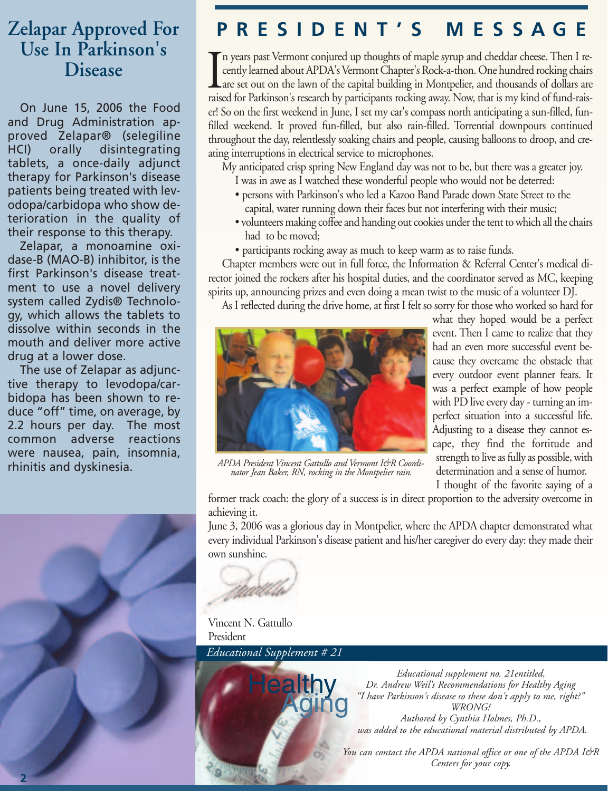## **Use In Parkinson's Disease**

On June 15, 2006 the Food and Drug Administration approved Zelapar® (selegiline HCI) orally disintegrating tablets, a once-daily adjunct therapy for Parkinson's disease patients being treated with levodopa/carbidopa who show deterioration in the quality of their response to this therapy.

Zelapar, a monoamine oxidase-B (MAO-B) inhibitor, is the first Parkinson's disease treatment to use a novel delivery system called Zydis® Technology, which allows the tablets to dissolve within seconds in the mouth and deliver more active drug at a lower dose.

The use of Zelapar as adjunctive therapy to levodopa/carbidopa has been shown to reduce "off" time, on average, by 2.2 hours per day. The most common adverse reactions were nausea, pain, insomnia, rhinitis and dyskinesia.

### **Zelapar Approved For PRESIDENT'S MESSAGE**

 $\prod_{\substack{1\\ \text{raise~\normalbox{0.6}{\rm{miss}}}}$ n years past Vermont conjured up thoughts of maple syrup and cheddar cheese. Then I recently learned about APDA's Vermont Chapter's Rock-a-thon. One hundred rocking chairs are set out on the lawn of the capital building in Montpelier, and thousands of dollars are raised for Parkinson's research by participants rocking away. Now, that is my kind of fund-raiser! So on the first weekend in June, I set my car's compass north anticipating a sun-filled, funfilled weekend. It proved fun-filled, but also rain-filled. Torrential downpours continued throughout the day, relentlessly soaking chairs and people, causing balloons to droop, and creating interruptions in electrical service to microphones.

My anticipated crisp spring New England day was not to be, but there was a greater joy.

- I was in awe as I watched these wonderful people who would not be deterred:
- persons with Parkinson's who led a Kazoo Band Parade down State Street to the capital, water running down their faces but not interfering with their music;
- volunteers making coffee and handing out cookies under the tent to which all the chairs had to be moved;
- participants rocking away as much to keep warm as to raise funds.

Chapter members were out in full force, the Information & Referral Center's medical director joined the rockers after his hospital duties, and the coordinator served as MC, keeping spirits up, announcing prizes and even doing a mean twist to the music of a volunteer DJ.

As I reflected during the drive home, at first I felt so sorry for those who worked so hard for



*APDA President Vincent Gattullo and Vermont I&R Coordinator Jean Baker, RN, rocking in the Montpelier rain.*

what they hoped would be a perfect event. Then I came to realize that they had an even more successful event because they overcame the obstacle that every outdoor event planner fears. It was a perfect example of how people with PD live every day - turning an imperfect situation into a successful life. Adjusting to a disease they cannot escape, they find the fortitude and strength to live as fully as possible, with determination and a sense of humor.

I thought of the favorite saying of a

former track coach: the glory of a success is in direct proportion to the adversity overcome in achieving it.

June 3, 2006 was a glorious day in Montpelier, where the APDA chapter demonstrated what every individual Parkinson's disease patient and his/her caregiver do every day: they made their own sunshine.

Vincent N. Gattullo President *Educational Supplement # 21*



*Educational supplement no. 21entitled, Dr. Andrew Weil's Recommendations for Healthy Aging "I have Parkinson's disease so these don't apply to me, right?" WRONG! Authored by Cynthia Holmes, Ph.D., was added to the educational material distributed by APDA.*

*You can contact the APDA national office or one of the APDA I&R Centers for your copy.*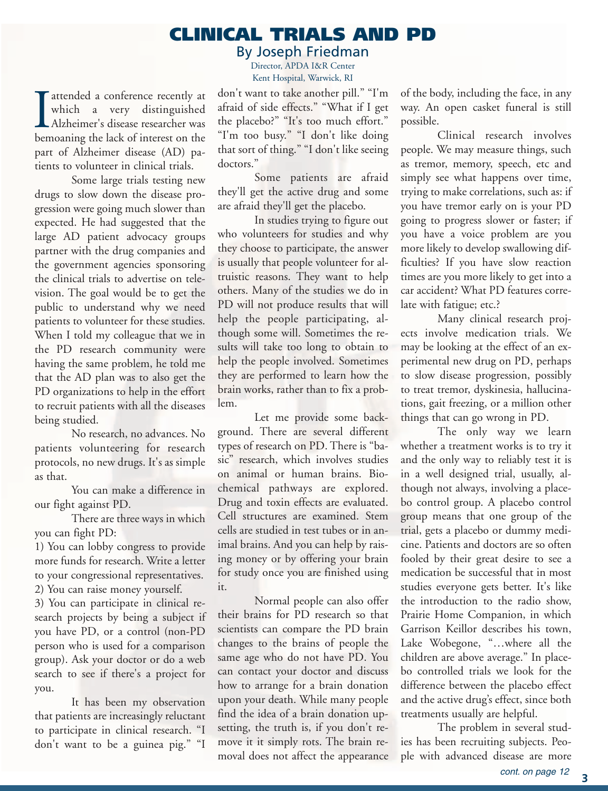### **CLINICAL TRIALS AND PD**

By Joseph Friedman

Director, APDA I&R Center Kent Hospital, Warwick, RI

Intended a conference recently at which a very distinguished Alzheimer's disease researcher was bemoaning the lack of interest on the attended a conference recently at which a very distinguished Alzheimer's disease researcher was part of Alzheimer disease (AD) patients to volunteer in clinical trials.

Some large trials testing new drugs to slow down the disease progression were going much slower than expected. He had suggested that the large AD patient advocacy groups partner with the drug companies and the government agencies sponsoring the clinical trials to advertise on television. The goal would be to get the public to understand why we need patients to volunteer for these studies. When I told my colleague that we in the PD research community were having the same problem, he told me that the AD plan was to also get the PD organizations to help in the effort to recruit patients with all the diseases being studied.

No research, no advances. No patients volunteering for research protocols, no new drugs. It's as simple as that.

You can make a difference in our fight against PD.

There are three ways in which you can fight PD:

1) You can lobby congress to provide more funds for research. Write a letter to your congressional representatives. 2) You can raise money yourself.

3) You can participate in clinical research projects by being a subject if you have PD, or a control (non-PD person who is used for a comparison group). Ask your doctor or do a web search to see if there's a project for you.

It has been my observation that patients are increasingly reluctant to participate in clinical research. "I don't want to be a guinea pig." "I don't want to take another pill." "I'm afraid of side effects." "What if I get the placebo?" "It's too much effort." "I'm too busy." "I don't like doing that sort of thing." "I don't like seeing doctors."

Some patients are afraid they'll get the active drug and some are afraid they'll get the placebo.

In studies trying to figure out who volunteers for studies and why they choose to participate, the answer is usually that people volunteer for altruistic reasons. They want to help others. Many of the studies we do in PD will not produce results that will help the people participating, although some will. Sometimes the results will take too long to obtain to help the people involved. Sometimes they are performed to learn how the brain works, rather than to fix a problem.

Let me provide some background. There are several different types of research on PD. There is "basic" research, which involves studies on animal or human brains. Biochemical pathways are explored. Drug and toxin effects are evaluated. Cell structures are examined. Stem cells are studied in test tubes or in animal brains. And you can help by raising money or by offering your brain for study once you are finished using it.

Normal people can also offer their brains for PD research so that scientists can compare the PD brain changes to the brains of people the same age who do not have PD. You can contact your doctor and discuss how to arrange for a brain donation upon your death. While many people find the idea of a brain donation upsetting, the truth is, if you don't remove it it simply rots. The brain removal does not affect the appearance of the body, including the face, in any way. An open casket funeral is still possible.

Clinical research involves people. We may measure things, such as tremor, memory, speech, etc and simply see what happens over time, trying to make correlations, such as: if you have tremor early on is your PD going to progress slower or faster; if you have a voice problem are you more likely to develop swallowing difficulties? If you have slow reaction times are you more likely to get into a car accident? What PD features correlate with fatigue; etc.?

Many clinical research projects involve medication trials. We may be looking at the effect of an experimental new drug on PD, perhaps to slow disease progression, possibly to treat tremor, dyskinesia, hallucinations, gait freezing, or a million other things that can go wrong in PD.

The only way we learn whether a treatment works is to try it and the only way to reliably test it is in a well designed trial, usually, although not always, involving a placebo control group. A placebo control group means that one group of the trial, gets a placebo or dummy medicine. Patients and doctors are so often fooled by their great desire to see a medication be successful that in most studies everyone gets better. It's like the introduction to the radio show, Prairie Home Companion, in which Garrison Keillor describes his town, Lake Wobegone, "…where all the children are above average." In placebo controlled trials we look for the difference between the placebo effect and the active drug's effect, since both treatments usually are helpful.

The problem in several studies has been recruiting subjects. People with advanced disease are more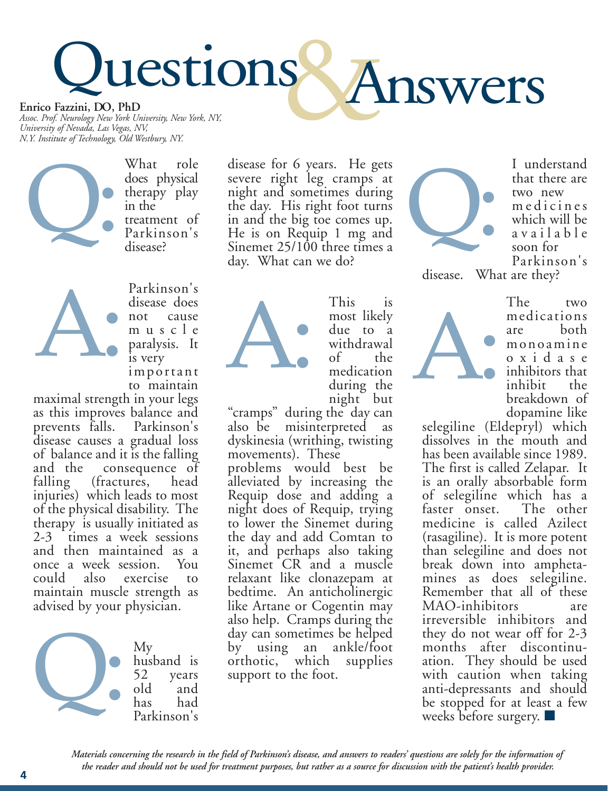## **Enrico Fazzini, DO, PhD** Questions Answers

*Assoc. Prof. Neurology New York University, New York, NY, University of Nevada, Las Vegas, NV, N.Y. Institute of Technology, Old Westbury, NY.*



What role does physical therapy play in the treatment of Parkinson's disease?

Parkinson's disease does not cause muscle paralysis. It is very important

to maintain maximal strength in your legs as this improves balance and<br>prevents falls. Parkinson's prevents falls. disease causes a gradual loss of balance and it is the falling and the consequence of<br>falling (fractures, head (fractures, head) injuries) which leads to most of the physical disability. The therapy is usually initiated as 2-3 times a week sessions and then maintained as a<br>once a week session. You once a week session. could also exercise to maintain muscle strength as advised by your physician. A:



disease for 6 years. He gets severe right leg cramps at night and sometimes during the day. His right foot turns in and the big toe comes up. He is on Requip 1 mg and Sinemet 25/100 three times a day. What can we do?



This is most likely due to a withdrawal<br>of the the medication during the

night but<br>cramps" during the day can" also be misinterpreted as dyskinesia (writhing, twisting movements). These

problems would best be alleviated by increasing the Requip dose and adding a night does of Requip, trying to lower the Sinemet during the day and add Comtan to it, and perhaps also taking Sinemet CR and a muscle relaxant like clonazepam at bedtime. An anticholinergic like Artane or Cogentin may also help. Cramps during the day can sometimes be helped by using an ankle/foot orthotic, which supplies support to the foot.



I understand that there are two new medicines which will be available soon for Parkinson's

disease. What are they?



The two medications are both monoamine oxidase inhibitors that<br>inhibit the inhibit breakdown of<br>dopamine like

selegiline (Eldepryl) which dissolves in the mouth and has been available since 1989. The first is called Zelapar. It is an orally absorbable form of selegiline which has a<br>faster onset. The other faster onset. medicine is called Azilect (rasagiline). It is more potent than selegiline and does not break down into amphetamines as does selegiline. Remember that all of these MAO-inhibitors are irreversible inhibitors and they do not wear off for 2-3 months after discontinuation. They should be used with caution when taking anti-depressants and should be stopped for at least a few weeks before surgery.  $\blacksquare$ 

*Materials concerning the research in the field of Parkinson's disease, and answers to readers' questions are solely for the information of the reader and should not be used for treatment purposes, but rather as a source for discussion with the patient's health provider.*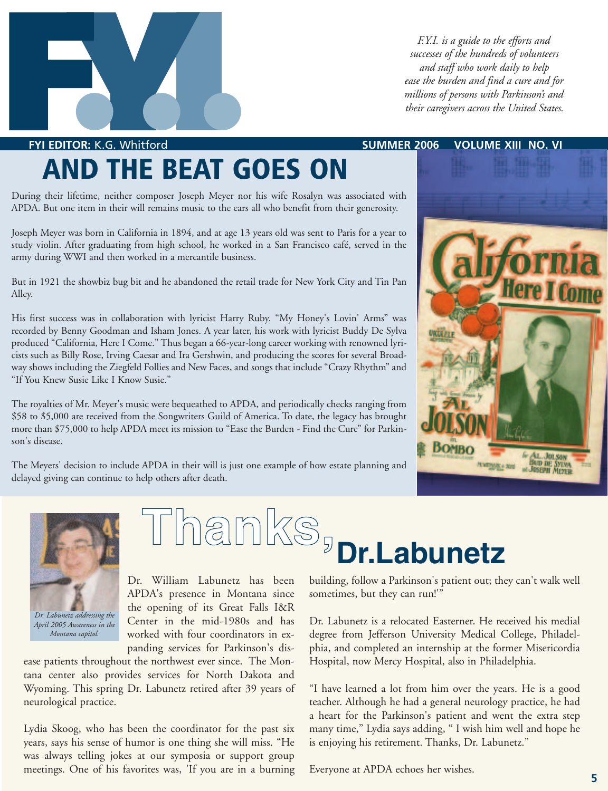

*F.Y.I. is a guide to the efforts and successes of the hundreds of volunteers and staff who work daily to help ease the burden and find a cure and for millions of persons with Parkinson's and their caregivers across the United States.*

**FYI EDITOR:** K.G. Whitford **SUMMER 2006 VOLUME XIII NO. VI** 

## **AND THE BEAT GOES ON**

During their lifetime, neither composer Joseph Meyer nor his wife Rosalyn was associated with APDA. But one item in their will remains music to the ears all who benefit from their generosity.

Joseph Meyer was born in California in 1894, and at age 13 years old was sent to Paris for a year to study violin. After graduating from high school, he worked in a San Francisco café, served in the army during WWI and then worked in a mercantile business.

But in 1921 the showbiz bug bit and he abandoned the retail trade for New York City and Tin Pan Alley.

His first success was in collaboration with lyricist Harry Ruby. "My Honey's Lovin' Arms" was recorded by Benny Goodman and Isham Jones. A year later, his work with lyricist Buddy De Sylva produced "California, Here I Come." Thus began a 66-year-long career working with renowned lyricists such as Billy Rose, Irving Caesar and Ira Gershwin, and producing the scores for several Broadway shows including the Ziegfeld Follies and New Faces, and songs that include "Crazy Rhythm" and "If You Knew Susie Like I Know Susie."

The royalties of Mr. Meyer's music were bequeathed to APDA, and periodically checks ranging from \$58 to \$5,000 are received from the Songwriters Guild of America. To date, the legacy has brought more than \$75,000 to help APDA meet its mission to "Ease the Burden - Find the Cure" for Parkinson's disease.

The Meyers' decision to include APDA in their will is just one example of how estate planning and delayed giving can continue to help others after death.





*April 2005 Awareness in the Montana capitol.* 

## **Thanks, Dr.Labunetz**

Dr. William Labunetz has been APDA's presence in Montana since the opening of its Great Falls I&R Center in the mid-1980s and has worked with four coordinators in expanding services for Parkinson's dis-

ease patients throughout the northwest ever since. The Montana center also provides services for North Dakota and Wyoming. This spring Dr. Labunetz retired after 39 years of neurological practice.

Lydia Skoog, who has been the coordinator for the past six years, says his sense of humor is one thing she will miss. "He was always telling jokes at our symposia or support group meetings. One of his favorites was, 'If you are in a burning building, follow a Parkinson's patient out; they can't walk well sometimes, but they can run!'"

Dr. Labunetz is a relocated Easterner. He received his medial degree from Jefferson University Medical College, Philadelphia, and completed an internship at the former Misericordia Hospital, now Mercy Hospital, also in Philadelphia.

"I have learned a lot from him over the years. He is a good teacher. Although he had a general neurology practice, he had a heart for the Parkinson's patient and went the extra step many time," Lydia says adding, " I wish him well and hope he is enjoying his retirement. Thanks, Dr. Labunetz."

Everyone at APDA echoes her wishes.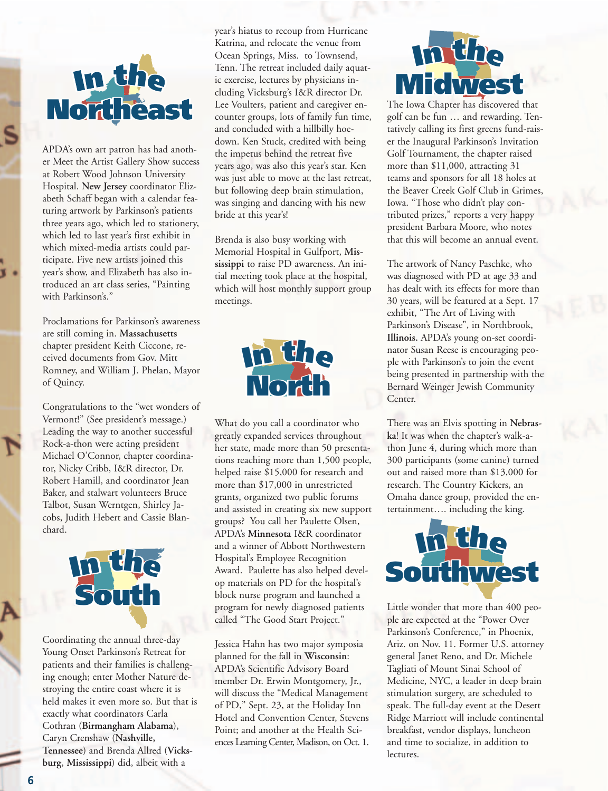

APDA's own art patron has had another Meet the Artist Gallery Show success at Robert Wood Johnson University Hospital. **New Jersey** coordinator Elizabeth Schaff began with a calendar featuring artwork by Parkinson's patients three years ago, which led to stationery, which led to last year's first exhibit in which mixed-media artists could participate. Five new artists joined this year's show, and Elizabeth has also introduced an art class series, "Painting with Parkinson's."

Proclamations for Parkinson's awareness are still coming in. **Massachusetts** chapter president Keith Ciccone, received documents from Gov. Mitt Romney, and William J. Phelan, Mayor of Quincy.

Congratulations to the "wet wonders of **I<sup>n</sup> th<sup>e</sup>** Vermont!" (See president's message.) Leading the way to another successful Leading the way to another succes<br>Rock-a-thon were acting president Michael O'Connor, chapter coordinator, Nicky Cribb, I&R director, Dr. Robert Hamill, and coordinator Jean Baker, and stalwart volunteers Bruce Talbot, Susan Werntgen, Shirley Jacobs, Judith Hebert and Cassie Blan chard. tor, Nicky Cribb, I&R director, Dr.<br>Robert Hamill, and coordinator Jean<br>Baker, and stalwart volunteers Bruce<br>Talbot, Susan Werntgen, Shirley Ja-<br>cobs, Judith Hebert and Cassie Blan-

> **South I<sup>n</sup> th<sup>e</sup>**

Coordinating the annual three-day Young Onset Parkinson's Retreat for patients and their families is challenging enough; enter Mother Nature destroying the entire coast where it is stroying the entire coast where it is<br>held makes it even more so. But that is<br>avoathy what exactlinates Carle exactly what coordinators Carla Cothran (**Birmangham Alabama**), Caryn Crenshaw (**Nashville, Tennessee**) and Brenda Allred (**Vicks-**<br> **South Brenda Allred (Vicks-**<br> **South Brenda Allred (Vicksburg**, **Mississippi**) did, albeit with a **I**<br>Is and their families is cl<br>Dugh; enter Mother Nat

year's hiatus to recoup from Hurricane Katrina, and relocate the venue from Ocean Springs, Miss. to Townsend, Tenn. The retreat included daily aquatic exercise, lectures by physicians including Vicksburg's I&R director Dr. Lee Voulters, patient and caregiver encounter groups, lots of family fun time, and concluded with a hillbilly hoedown. Ken Stuck, credited with being the impetus behind the retreat five years ago, was also this year's star. Ken was just able to move at the last retreat, but following deep brain stimulation, was singing and dancing with his new bride at this year's!

Brenda is also busy working with Memorial Hospital in Gulfport, **Mississippi** to raise PD awareness. An initial meeting took place at the hospital, which will host monthly support group meetings.



What do you call a coordinator who greatly expanded services throughout her state, made more than 50 presentations reaching more than 1,500 people, helped raise \$15,000 for research and more than \$17,000 in unrestricted grants, organized two public forums and assisted in creating six new support<br>groups? You call her Paulette Olsen,<br>APDA? Mi groups? You call her Paulette Olsen, APDA's **Minnesota** I&R coordinator and a winner of Abbott Northwestern<br>Hospital's Employee Recognition Hospital's Employee Recognition Award. Paulette has also helped develop materials on PD for the hospital's block nurse program and launched a program for newly diagnosed patients called "The Good Start Project." age.)<br>
What do you call a coordinator who<br>
greatly expanded services throughout<br>
her state, made more than 50 presenta<br>
tions reaching more than 1,500 people<br>
Dr.<br>
lelped raise \$15,000 for research and<br>
more than \$17,000 i m for newly diagnosed p<br>The Good Start Projec

Jessica Hahn has two major symposia planned for the fall in **Wisconsin**: **Midwest** APDA's Scientific Advisory Board member Dr. Erwin Montgomery, Jr., will discuss the "Medical Management of PD," Sept. 23, at the Holiday Inn Hotel and Convention Center, Stevens Point; and another at the Health Sciences Learning Center, Madison, on Oct. 1. of PD," Sept. 23, at the Holiday Inn<br>Hotel and Convention Center, Steven<br>Point; and another at the Health Sci-<br>ences Learning Center, Madison, on Oct. 1

## **Midwest I<sup>n</sup> th<sup>e</sup>**

The Iowa Chapter has discovered that golf can be fun … and rewarding. Tentatively calling its first greens fund-raiser the Inaugural Parkinson's Invitation Golf Tournament, the chapter raised more than \$11,000, attracting 31 tatively calling its first greens fund-rain<br>er the Inaugural Parkinson's Invitation<br>Golf Tournament, the chapter raised<br>more than \$11,000, attracting 31<br>teams and sponsors for all 18 holes at the Beaver Creek Golf Club in Grimes, Iowa. "Those who didn't play contributed prizes," reports a very happy<br>president Barbara Moore, who notes president Barbara Moore, who notes<br>that this will become an annual even<br>The artwork of Nancy Paschke, who<br>was diagnosed with PD at age 33 an that this will become an annual event. I**l** a sponsors for all 18 h<br>I<br>There Creek Golf Club in

The artwork of Nancy Paschke, who was diagnosed with PD at age 33 and has dealt with its effects for more than 30 years, will be featured at a Sept. 17 exhibit, "The Art of Living with exhibit, "The Art of Living with<br>Parkinson's Disease", in Northbrook, **Illinois.** APDA's young on-set coordinator Susan Reese is encouraging peominoder *I*n *DTS* young on set coold<br>nator Susan Reese is encouraging pec<br>ple with Parkinson's to join the event being presented in partnership with the<br>Bernard Weinger Jewish Community Bernard Weinger Jewish Community Center. The artwork of Nancy Paschke, who was diagnosed with PD at age 33 and has dealt with its effects for more than 30 years, will be featured at a Sept. 17 **In Il E**<br>**Il E**<br>**Il E**<br>**Il Parkinson's to join the** 

There was an Elvis spotting in **Nebraska**! It was when the chapter's walk-a**ka**: It was when the enapter's wand-a-<br>thon June 4, during which more than<br>300 participants (some canine) turned 300 participants (some canine) turned out and raised more than \$13,000 for research. The Country Kickers, an Omaha dance group, provided the entertainment…. including the king. t and raised more than \$1*3,*000<br>earch. The Country Kickers, an<br>naba dance group, provided the



Little wonder that more than 400 people are expected at the "Power Over Parkinson's Conference," in Phoenix, Ariz. on Nov. 11. Former U.S. attorney general Janet Reno, and Dr. Michele Tagliati of Mount Sinai School of Medicine, NYC, a leader in deep brain stimulation surgery, are scheduled to speak. The full-day event at the Desert Ridge Marriott will include continental breakfast, vendor displays, luncheon and time to socialize, in addition to<br>lectures. lectures. expected at the "Power"<br>
on's Conference," in Ph<br>
n Nov. 11. Former U.S.<br>
Janet Reno, and Dr. M<br>
i of Mount Sinai School **I** he full-day event at the<br>Marriott will include co<br>st. vendor displays. lune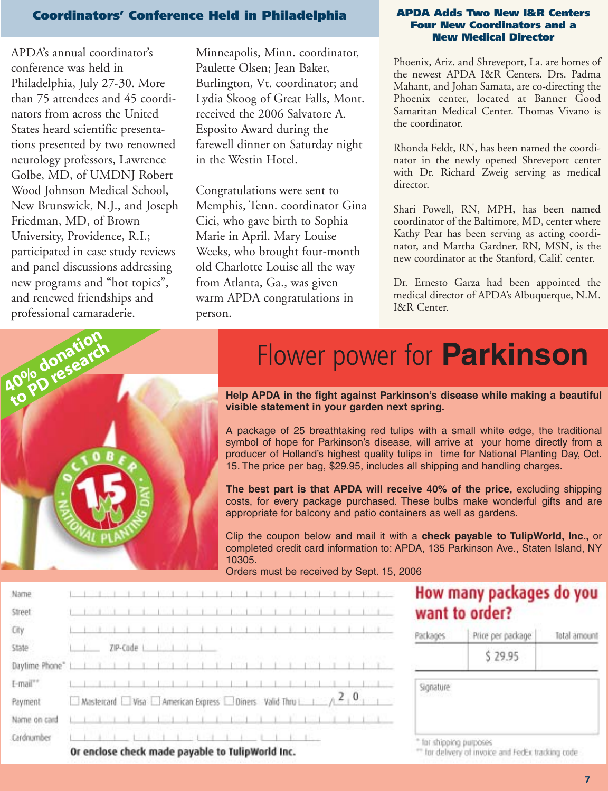### **Coordinators' Conference Held in Philadelphia APDA Adds Two New I&R Centers**

APDA's annual coordinator's conference was held in Philadelphia, July 27-30. More than 75 attendees and 45 coordinators from across the United States heard scientific presentations presented by two renowned neurology professors, Lawrence Golbe, MD, of UMDNJ Robert Wood Johnson Medical School, New Brunswick, N.J., and Joseph Friedman, MD, of Brown University, Providence, R.I.; participated in case study reviews and panel discussions addressing new programs and "hot topics", and renewed friendships and professional camaraderie.

Minneapolis, Minn. coordinator, Paulette Olsen; Jean Baker, Burlington, Vt. coordinator; and Lydia Skoog of Great Falls, Mont. received the 2006 Salvatore A. Esposito Award during the farewell dinner on Saturday night in the Westin Hotel.

Congratulations were sent to Memphis, Tenn. coordinator Gina Cici, who gave birth to Sophia Marie in April. Mary Louise Weeks, who brought four-month old Charlotte Louise all the way from Atlanta, Ga., was given warm APDA congratulations in person.

### **Four New Coordinators and a New Medical Director**

Phoenix, Ariz. and Shreveport, La. are homes of the newest APDA I&R Centers. Drs. Padma Mahant, and Johan Samata, are co-directing the Phoenix center, located at Banner Good Samaritan Medical Center. Thomas Vivano is the coordinator.

Rhonda Feldt, RN, has been named the coordinator in the newly opened Shreveport center with Dr. Richard Zweig serving as medical director.

Shari Powell, RN, MPH, has been named coordinator of the Baltimore, MD, center where Kathy Pear has been serving as acting coordinator, and Martha Gardner, RN, MSN, is the new coordinator at the Stanford, Calif. center.

Dr. Ernesto Garza had been appointed the medical director of APDA's Albuquerque, N.M. I&R Center.



## **flower power for Parkinson**

**Help APDA in the fight against Parkinson's disease while making a beautiful visible statement in your garden next spring.**

A package of 25 breathtaking red tulips with a small white edge, the traditional symbol of hope for Parkinson's disease, will arrive at your home directly from a producer of Holland's highest quality tulips in time for National Planting Day, Oct. 15. The price per bag, \$29.95, includes all shipping and handling charges.

**The best part is that APDA will receive 40% of the price,** excluding shipping costs, for every package purchased. These bulbs make wonderful gifts and are appropriate for balcony and patio containers as well as gardens.

Clip the coupon below and mail it with a **check payable to TulipWorld, Inc.,** or completed credit card information to: APDA, 135 Parkinson Ave., Staten Island, NY 10305.

Orders must be received by Sept. 15, 2006

| Name<br>Street |                                                                                                          |                                                  |  |  |          |  |  |  |  |  |  |  |  |  |  |                                                    |  |  |           | How many packages do you<br>want to order? |              |
|----------------|----------------------------------------------------------------------------------------------------------|--------------------------------------------------|--|--|----------|--|--|--|--|--|--|--|--|--|--|----------------------------------------------------|--|--|-----------|--------------------------------------------|--------------|
| City           |                                                                                                          |                                                  |  |  |          |  |  |  |  |  |  |  |  |  |  |                                                    |  |  | Packages  | Price per package                          | Total amount |
| State          |                                                                                                          |                                                  |  |  | ZIP-Code |  |  |  |  |  |  |  |  |  |  |                                                    |  |  |           | \$29.95                                    |              |
| Daytime Phone" |                                                                                                          |                                                  |  |  |          |  |  |  |  |  |  |  |  |  |  |                                                    |  |  |           |                                            |              |
| I-mail"        |                                                                                                          |                                                  |  |  |          |  |  |  |  |  |  |  |  |  |  |                                                    |  |  | Signature |                                            |              |
| Payment        | $\Box$ Mastercard $\Box$ Visa $\Box$ American Express $\Box$ Diners Valid Thru $\Box$ $\land$ 2 $\Box$ 0 |                                                  |  |  |          |  |  |  |  |  |  |  |  |  |  |                                                    |  |  |           |                                            |              |
| Name on card   |                                                                                                          |                                                  |  |  |          |  |  |  |  |  |  |  |  |  |  |                                                    |  |  |           |                                            |              |
| Cardnumber     |                                                                                                          |                                                  |  |  |          |  |  |  |  |  |  |  |  |  |  |                                                    |  |  |           | for shipping purposes                      |              |
|                |                                                                                                          | Or enclose check made payable to TulipWorld Inc. |  |  |          |  |  |  |  |  |  |  |  |  |  | ** for delivery of invoice and FedEx tracking code |  |  |           |                                            |              |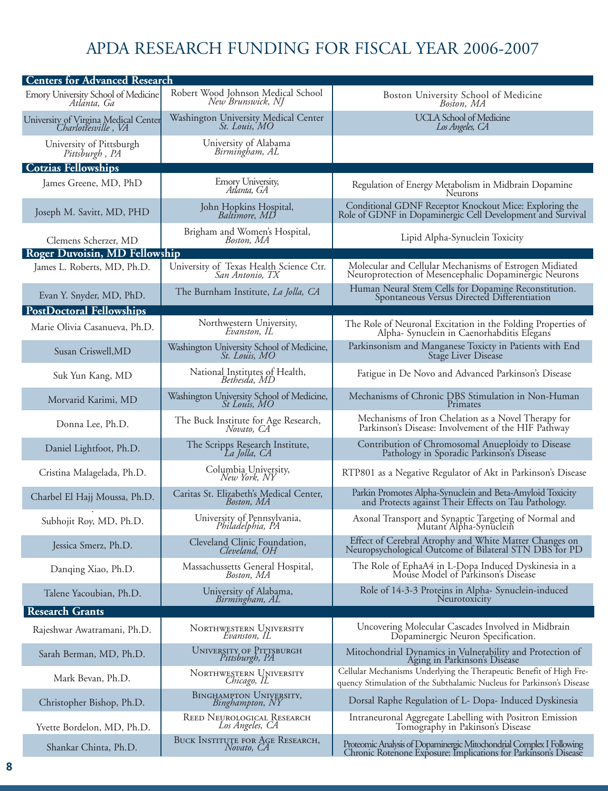### APDA RESEARCH FUNDING FOR FISCAL YEAR 2006-2007

| <b>Centers for Advanced Research</b>                        |                                                              |                                                                                                                                              |  |  |  |  |  |  |  |
|-------------------------------------------------------------|--------------------------------------------------------------|----------------------------------------------------------------------------------------------------------------------------------------------|--|--|--|--|--|--|--|
| Emory University School of Medicine<br>Atlánta, Ga          | Robert Wood Johnson Medical School<br>New Brunswick, NJ      | Boston University School of Medicine<br>Boston, MA                                                                                           |  |  |  |  |  |  |  |
| University of Virgina Medical Center<br>Charlottesville, VA | Washington University Medical Center<br><i>St. Louis, MO</i> | <b>UCLA School of Medicine</b><br>Los Angeles, CA                                                                                            |  |  |  |  |  |  |  |
| University of Pittsburgh<br>Pittsburgh, PA                  | University of Alabama<br>Birmingham, AL                      |                                                                                                                                              |  |  |  |  |  |  |  |
| <b>Cotzias Fellowships</b>                                  |                                                              |                                                                                                                                              |  |  |  |  |  |  |  |
| James Greene, MD, PhD                                       | <b>Emory University,</b><br>Atlanta, GA                      | Regulation of Energy Metabolism in Midbrain Dopamine<br>Neurons                                                                              |  |  |  |  |  |  |  |
| Joseph M. Savitt, MD, PHD                                   | John Hopkins Hospital,<br>Baltimore, MD                      | Conditional GDNF Receptor Knockout Mice: Exploring the<br>Role of GDNF in Dopaminergic Cell Development and Survival                         |  |  |  |  |  |  |  |
| Clemens Scherzer, MD                                        | Brigham and Women's Hospital,<br>Boston, MA                  | Lipid Alpha-Synuclein Toxicity                                                                                                               |  |  |  |  |  |  |  |
| <b>Roger Duvoisin, MD Fellowship</b>                        |                                                              |                                                                                                                                              |  |  |  |  |  |  |  |
| James L. Roberts, MD, Ph.D.                                 | University of Texas Health Science Ctr.<br>San Antonio, TX   | Molecular and Cellular Mechanisms of Estrogen Midiated<br>Neuroprotection of Mesencephalic Dopaminergic Neurons                              |  |  |  |  |  |  |  |
| Evan Y. Snyder, MD, PhD.                                    | The Burnham Institute, La Jolla, CA                          | Human Neural Stem Cells for Dopamine Reconstitution.<br>Spontaneous Versus Directed Differentiation                                          |  |  |  |  |  |  |  |
| <b>PostDoctoral Fellowships</b>                             |                                                              |                                                                                                                                              |  |  |  |  |  |  |  |
| Marie Olivia Casanueva, Ph.D.                               | Northwestern University,<br>Evanston, IL                     | The Role of Neuronal Excitation in the Folding Properties of<br>Alpha- Synuclein in Caenorhabditis Elegans                                   |  |  |  |  |  |  |  |
| Susan Criswell, MD                                          | Washington University School of Medicine,<br>St. Louis, MO   | Parkinsonism and Manganese Toxicty in Patients with End<br>Stage Liver Disease                                                               |  |  |  |  |  |  |  |
| Suk Yun Kang, MD                                            | National Institutes of Health,<br>Bethesda, MD               | Fatigue in De Novo and Advanced Parkinson's Disease                                                                                          |  |  |  |  |  |  |  |
| Morvarid Karimi, MD                                         | Washington University School of Medicine,<br>St Louis, MO    | Mechanisms of Chronic DBS Stimulation in Non-Human<br>Primates                                                                               |  |  |  |  |  |  |  |
| Donna Lee, Ph.D.                                            | The Buck Institute for Age Research,<br>Novato, CA           | Mechanisms of Iron Chelation as a Novel Therapy for<br>Parkinson's Disease: Involvement of the HIF Pathway                                   |  |  |  |  |  |  |  |
| Daniel Lightfoot, Ph.D.                                     | The Scripps Research Institute,<br>La Jolla, CA              | Contribution of Chromosomal Anueploidy to Disease<br>Pathology in Sporadic Parkinson's Disease                                               |  |  |  |  |  |  |  |
| Cristina Malagelada, Ph.D.                                  | Columbia University,<br>New York, NY                         | RTP801 as a Negative Regulator of Akt in Parkinson's Disease                                                                                 |  |  |  |  |  |  |  |
| Charbel El Hajj Moussa, Ph.D.                               | Caritas St. Elizabeth's Medical Center,<br>Boston, MA        | Parkin Promotes Alpha-Synuclein and Beta-Amyloid Toxicity<br>and Protects against Their Effects on Tau Pathology.                            |  |  |  |  |  |  |  |
| Subhojit Roy, MD, Ph.D.                                     | University of Pennsylvania,<br>Philadelphia, PA              | Axonal Transport and Synaptic Targeting of Normal and<br>Mutant Alpha-Synuclein                                                              |  |  |  |  |  |  |  |
| Jessica Smerz, Ph.D.                                        | Cleveland Clinic Foundation,<br>Cleveland, OH                | Effect of Cerebral Atrophy and White Matter Changes on<br>Neuropsychological Outcome of Bilateral STN DBS for PD                             |  |  |  |  |  |  |  |
| Danqing Xiao, Ph.D.                                         | Massachussetts General Hospital,<br>Boston, MA               | The Role of EphaA4 in L-Dopa Induced Dyskinesia in a<br>Mouse Model of Parkinson's Disease                                                   |  |  |  |  |  |  |  |
| Talene Yacoubian, Ph.D.                                     | University of Alabama,<br>Birmingham, AL                     | Role of 14-3-3 Proteins in Alpha- Synuclein-induced<br>Neurotoxicity                                                                         |  |  |  |  |  |  |  |
| <b>Research Grants</b>                                      |                                                              |                                                                                                                                              |  |  |  |  |  |  |  |
| Rajeshwar Awatramani, Ph.D.                                 | NORTHWESTERN UNIVERSITY<br>Evanston, IL                      | Uncovering Molecular Cascades Involved in Midbrain<br>Dopaminergic Neuron Specification.                                                     |  |  |  |  |  |  |  |
| Sarah Berman, MD, Ph.D.                                     | UNIVERSITY OF PITTSBURGH<br>Pittsburgh, PA                   | Mitochondrial Dynamics in Vulnerability and Protection of<br>Aging in Parkinson's Disease                                                    |  |  |  |  |  |  |  |
| Mark Bevan, Ph.D.                                           | NORTHWESTERN UNIVERSITY<br>Chicago, IL                       | Cellular Mechanisms Underlying the Therapeutic Benefit of High Fre-<br>quency Stimulation of the Subthalamic Nucleus for Parkinson's Disease |  |  |  |  |  |  |  |
| Christopher Bishop, Ph.D.                                   | BINGHAMPTON UNIVERSITY, Binghampton, NY                      | Dorsal Raphe Regulation of L- Dopa- Induced Dyskinesia                                                                                       |  |  |  |  |  |  |  |
| Yvette Bordelon, MD, Ph.D.                                  | REED NEUROLOGICAL RESEARCH<br>Los Angeles, CA                | Intraneuronal Aggregate Labelling with Positron Emission<br>Tomography in Pakinson's Disease                                                 |  |  |  |  |  |  |  |
| Shankar Chinta, Ph.D.                                       | BUCK INSTITUTE FOR AGE RESEARCH,<br>Novato, CA               | Proteomic Analysis of Dopaminergic Mitochondrial Complex I Following<br>Chronic Rotenone Exposure: Implications for Parkinson's Disease      |  |  |  |  |  |  |  |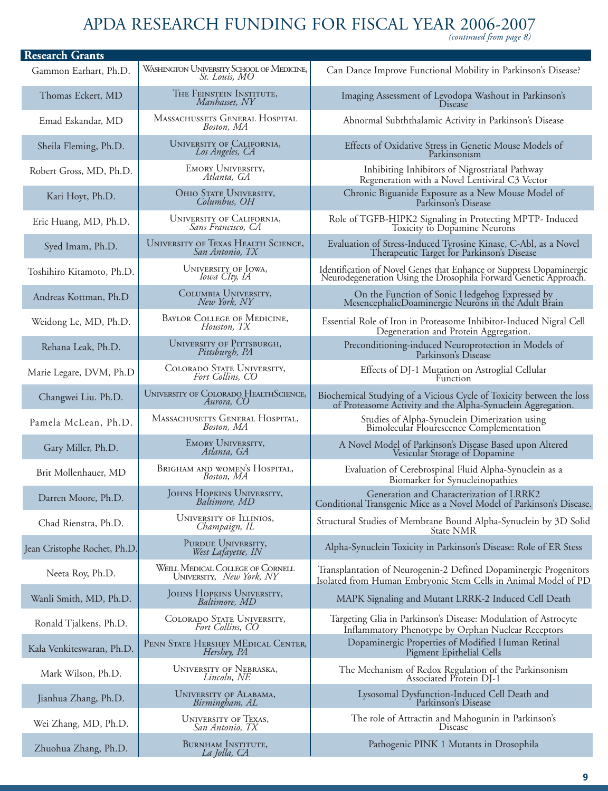## APDA RESEARCH FUNDING FOR FISCAL YEAR 2006-2007 *(continued from page 8)*

| <b>Research Grants</b>       |                                                               |                                                                                                                                         |
|------------------------------|---------------------------------------------------------------|-----------------------------------------------------------------------------------------------------------------------------------------|
| Gammon Earhart, Ph.D.        | WASHINGTON UNIVERSITY SCHOOL OF MEDICINE,<br>St. Louis, MO    | Can Dance Improve Functional Mobility in Parkinson's Disease?                                                                           |
| Thomas Eckert, MD            | THE FEINSTEIN INSTITUTE,<br>Manhasset, NY                     | Imaging Assessment of Levodopa Washout in Parkinson's<br><b>Disease</b>                                                                 |
| Emad Eskandar, MD            | MASSACHUSSETS GENERAL HOSPITAL<br>Boston, MA                  | Abnormal Subththalamic Activity in Parkinson's Disease                                                                                  |
| Sheila Fleming, Ph.D.        | UNIVERSITY OF CALIFORNIA,<br>Los Angeles, CA                  | Effects of Oxidative Stress in Genetic Mouse Models of<br>Parkinsonism                                                                  |
| Robert Gross, MD, Ph.D.      | <b>EMORY UNIVERSITY,</b><br>Atlanta, GA                       | Inhibiting Inhibitors of Nigrostriatal Pathway<br>Regeneration with a Novel Lentiviral C3 Vector                                        |
| Kari Hoyt, Ph.D.             | OHIO STATE UNIVERSITY,<br>Columbus, OH                        | Chronic Biguanide Exposure as a New Mouse Model of<br>Parkinson's Disease                                                               |
| Eric Huang, MD, Ph.D.        | UNIVERSITY OF CALIFORNIA,<br>Sans Francisco, CA               | Role of TGFB-HIPK2 Signaling in Protecting MPTP- Induced<br>Toxicity to Dopamine Neurons                                                |
| Syed Imam, Ph.D.             | <b>UNIVERSITY OF TEXAS HEALTH SCIENCE,</b><br>San Antonio, TX | Evaluation of Stress-Induced Tyrosine Kinase, C-Abl, as a Novel<br>Therapeutic Target for Parkinson's Disease                           |
| Toshihiro Kitamoto, Ph.D.    | UNIVERSITY OF IOWA,<br>Iowa CIty, IA                          | Identification of Novel Genes that Enhance or Suppress Dopaminergic<br>Neurodegeneration Using the Drosophila Forward Genetic Approach. |
| Andreas Kottman, Ph.D        | COLUMBIA UNIVERSITY,<br>New York, NY                          | On the Function of Sonic Hedgehog Expressed by<br>MesencephalicDoaminergic Neurons in the Adult Brain                                   |
| Weidong Le, MD, Ph.D.        | <b>BAYLOR COLLEGE OF MEDICINE,</b><br>Houston, TX             | Essential Role of Iron in Proteasome Inhibitor-Induced Nigral Cell<br>Degeneration and Protein Aggregation.                             |
| Rehana Leak, Ph.D.           | UNIVERSITY OF PITTSBURGH,<br>Pittsburgh, PA                   | Preconditioning-induced Neuroprotection in Models of<br>Parkinson's Disease                                                             |
| Marie Legare, DVM, Ph.D      | COLORADO STATE UNIVERSITY,<br>Fort Collins, CO                | Effects of DJ-1 Mutation on Astroglial Cellular<br>Function                                                                             |
| Changwei Liu. Ph.D.          | <b>UNIVERSITY OF COLORADO HEALTHSCIENCE,</b><br>Aurora, CO    | Biochemical Studying of a Vicious Cycle of Toxicity between the loss<br>of Proteasome Activity and the Alpha-Synuclein Aggregation.     |
| Pamela McLean, Ph.D.         | MASSACHUSETTS GENERAL HOSPITAL,<br>Boston, MA                 | Studies of Alpha-Synuclein Dimerization using<br>Bimolecular Flourescence Complementation                                               |
| Gary Miller, Ph.D.           | EMORY UNIVERSITY,<br>Atlanta, GA                              | A Novel Model of Parkinson's Disease Based upon Altered<br>Vesicular Storage of Dopamine                                                |
| Brit Mollenhauer, MD         | BRIGHAM AND WOMEN'S HOSPITAL,<br>Boston, MA                   | Evaluation of Cerebrospinal Fluid Alpha-Synuclein as a<br>Biomarker for Synucleinopathies                                               |
| Darren Moore, Ph.D.          | JOHNS HOPKINS UNIVERSITY,<br>Baltimore, MD                    | Generation and Characterization of LRRK2<br>Conditional Transgenic Mice as a Novel Model of Parkinson's Disease.                        |
| Chad Rienstra, Ph.D.         | UNIVERSITY OF ILLINIOS,<br>Champaign, IL                      | Structural Studies of Membrane Bound Alpha-Synuclein by 3D Solid<br><b>State NMR</b>                                                    |
| Jean Cristophe Rochet, Ph.D. | PURDUE UNIVERSITY,<br>West Lafayette, IN                      | Alpha-Synuclein Toxicity in Parkinson's Disease: Role of ER Stess                                                                       |
| Neeta Roy, Ph.D.             | WEILL MEDICAL COLLEGE OF CORNELL<br>UNIVERSITY, New York, NY  | Transplantation of Neurogenin-2 Defined Dopaminergic Progenitors<br>Isolated from Human Embryonic Stem Cells in Animal Model of PD      |
| Wanli Smith, MD, Ph.D.       | JOHNS HOPKINS UNIVERSITY,<br>Baltimore, MD                    | MAPK Signaling and Mutant LRRK-2 Induced Cell Death                                                                                     |
| Ronald Tjalkens, Ph.D.       | COLORADO STATE UNIVERSITY,<br>Fort Collins, CO                | Targeting Glia in Parkinson's Disease: Modulation of Astrocyte<br>Inflammatory Phenotype by Orphan Nuclear Receptors                    |
| Kala Venkiteswaran, Ph.D.    | PENN STATE HERSHEY MEDICAL CENTER,<br>Hershey, PA             | Dopaminergic Properties of Modified Human Retinal<br>Pigment Epithelial Cells                                                           |
| Mark Wilson, Ph.D.           | UNIVERSITY OF NEBRASKA,<br>Lincoln, NE                        | The Mechanism of Redox Regulation of the Parkinsonism<br>Associated Protein DJ-1                                                        |
| Jianhua Zhang, Ph.D.         | UNIVERSITY OF ALABAMA,<br>Birmingham, AL                      | Lysosomal Dysfunction-Induced Cell Death and<br>Parkinson's Disease                                                                     |
| Wei Zhang, MD, Ph.D.         | <b>UNIVERSITY OF TEXAS,</b><br>San Antonio, TX                | The role of Attractin and Mahogunin in Parkinson's<br>Disease                                                                           |
| Zhuohua Zhang, Ph.D.         | BURNHAM INSTITUTE,<br>La Jolla, CA                            | Pathogenic PINK 1 Mutants in Drosophila                                                                                                 |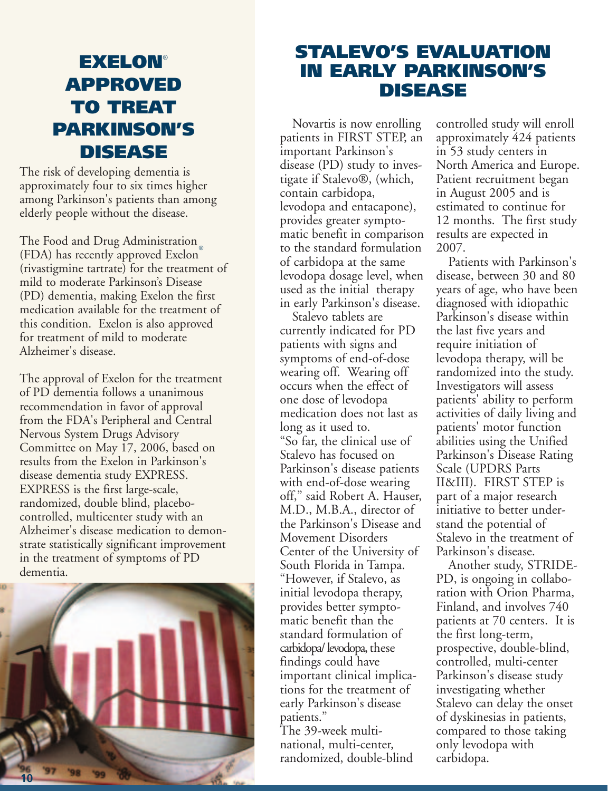### **EXELON**® **APPROVED TO TREAT PARKINSON'S DISEASE**

The risk of developing dementia is approximately four to six times higher among Parkinson's patients than among elderly people without the disease.

The Food and Drug Administration (FDA) has recently approved Exelon® (rivastigmine tartrate) for the treatment of mild to moderate Parkinson's Disease (PD) dementia, making Exelon the first medication available for the treatment of this condition. Exelon is also approved for treatment of mild to moderate Alzheimer's disease.

The approval of Exelon for the treatment of PD dementia follows a unanimous recommendation in favor of approval from the FDA's Peripheral and Central Nervous System Drugs Advisory Committee on May 17, 2006, based on results from the Exelon in Parkinson's disease dementia study EXPRESS. EXPRESS is the first large-scale, randomized, double blind, placebocontrolled, multicenter study with an Alzheimer's disease medication to demonstrate statistically significant improvement in the treatment of symptoms of PD dementia.



### **STALEVO'S EVALUATION IN EARLY PARKINSON'S DISEASE**

Novartis is now enrolling patients in FIRST STEP, an important Parkinson's disease (PD) study to investigate if Stalevo®, (which, contain carbidopa, levodopa and entacapone), provides greater symptomatic benefit in comparison to the standard formulation of carbidopa at the same levodopa dosage level, when used as the initial therapy in early Parkinson's disease.

Stalevo tablets are currently indicated for PD patients with signs and symptoms of end-of-dose wearing off. Wearing off occurs when the effect of one dose of levodopa medication does not last as long as it used to. "So far, the clinical use of Stalevo has focused on Parkinson's disease patients with end-of-dose wearing off," said Robert A. Hauser, M.D., M.B.A., director of the Parkinson's Disease and Movement Disorders Center of the University of South Florida in Tampa. "However, if Stalevo, as initial levodopa therapy, provides better symptomatic benefit than the standard formulation of carbidopa/ levodopa, these findings could have important clinical implications for the treatment of early Parkinson's disease patients."

The 39-week multinational, multi-center, randomized, double-blind controlled study will enroll approximately 424 patients in 53 study centers in North America and Europe. Patient recruitment began in August 2005 and is estimated to continue for 12 months. The first study results are expected in 2007.

Patients with Parkinson's disease, between 30 and 80 years of age, who have been diagnosed with idiopathic Parkinson's disease within the last five years and require initiation of levodopa therapy, will be randomized into the study. Investigators will assess patients' ability to perform activities of daily living and patients' motor function abilities using the Unified Parkinson's Disease Rating Scale (UPDRS Parts II&III). FIRST STEP is part of a major research initiative to better understand the potential of Stalevo in the treatment of Parkinson's disease.

Another study, STRIDE-PD, is ongoing in collaboration with Orion Pharma, Finland, and involves 740 patients at 70 centers. It is the first long-term, prospective, double-blind, controlled, multi-center Parkinson's disease study investigating whether Stalevo can delay the onset of dyskinesias in patients, compared to those taking only levodopa with carbidopa.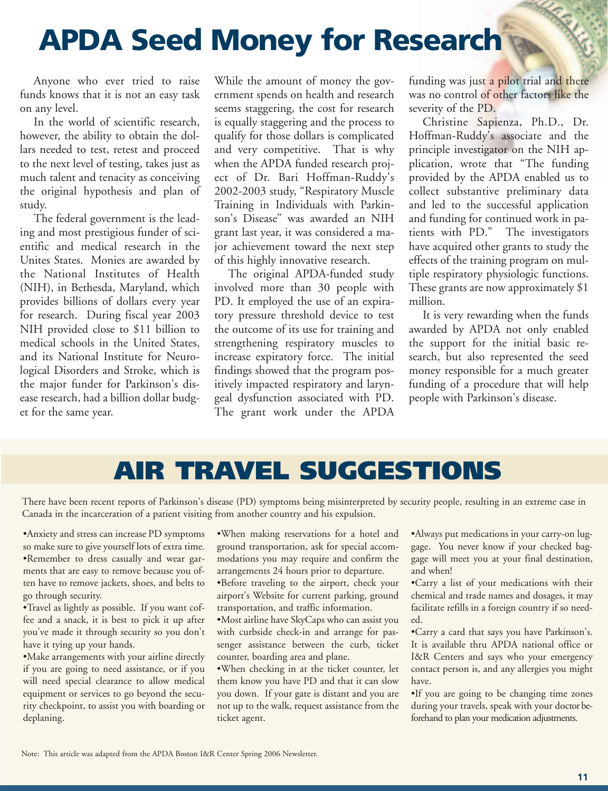# **APDA Seed Money for Research**

Anyone who ever tried to raise funds knows that it is not an easy task on any level.

In the world of scientific research, however, the ability to obtain the dollars needed to test, retest and proceed to the next level of testing, takes just as much talent and tenacity as conceiving the original hypothesis and plan of study.

The federal government is the leading and most prestigious funder of scientific and medical research in the Unites States. Monies are awarded by the National Institutes of Health (NIH), in Bethesda, Maryland, which provides billions of dollars every year for research. During fiscal year 2003 NIH provided close to \$11 billion to medical schools in the United States, and its National Institute for Neurological Disorders and Stroke, which is the major funder for Parkinson's disease research, had a billion dollar budget for the same year.

While the amount of money the government spends on health and research seems staggering, the cost for research is equally staggering and the process to qualify for those dollars is complicated and very competitive. That is why when the APDA funded research project of Dr. Bari Hoffman-Ruddy's 2002-2003 study, "Respiratory Muscle Training in Individuals with Parkinson's Disease" was awarded an NIH grant last year, it was considered a major achievement toward the next step of this highly innovative research.

The original APDA-funded study involved more than 30 people with PD. It employed the use of an expiratory pressure threshold device to test the outcome of its use for training and strengthening respiratory muscles to increase expiratory force. The initial findings showed that the program positively impacted respiratory and laryngeal dysfunction associated with PD. The grant work under the APDA

funding was just a pilot trial and there was no control of other factors like the severity of the PD.

Christine Sapienza, Ph.D., Dr. Hoffman-Ruddy's associate and the principle investigator on the NIH application, wrote that "The funding provided by the APDA enabled us to collect substantive preliminary data and led to the successful application and funding for continued work in patients with PD." The investigators have acquired other grants to study the effects of the training program on multiple respiratory physiologic functions. These grants are now approximately \$1 million.

It is very rewarding when the funds awarded by APDA not only enabled the support for the initial basic research, but also represented the seed money responsible for a much greater funding of a procedure that will help people with Parkinson's disease.

### **AIR TRAVEL SUGGESTIONS**

There have been recent reports of Parkinson's disease (PD) symptoms being misinterpreted by security people, resulting in an extreme case in Canada in the incarceration of a patient visiting from another country and his expulsion.

•Anxiety and stress can increase PD symptoms so make sure to give yourself lots of extra time. •Remember to dress casually and wear garments that are easy to remove because you often have to remove jackets, shoes, and belts to go through security.

•Travel as lightly as possible. If you want coffee and a snack, it is best to pick it up after you've made it through security so you don't have it tying up your hands.

•Make arrangements with your airline directly if you are going to need assistance, or if you will need special clearance to allow medical equipment or services to go beyond the security checkpoint, to assist you with boarding or deplaning.

•When making reservations for a hotel and ground transportation, ask for special accommodations you may require and confirm the arrangements 24 hours prior to departure.

•Before traveling to the airport, check your airport's Website for current parking, ground transportation, and traffic information.

•Most airline have SkyCaps who can assist you with curbside check-in and arrange for passenger assistance between the curb, ticket counter, boarding area and plane.

•When checking in at the ticket counter, let them know you have PD and that it can slow you down. If your gate is distant and you are not up to the walk, request assistance from the ticket agent.

•Always put medications in your carry-on luggage. You never know if your checked baggage will meet you at your final destination, and when!

•Carry a list of your medications with their chemical and trade names and dosages, it may facilitate refills in a foreign country if so needed.

•Carry a card that says you have Parkinson's. It is available thru APDA national office or I&R Centers and says who your emergency contact person is, and any allergies you might have.

•If you are going to be changing time zones during your travels, speak with your doctor beforehand to plan your medication adjustments.